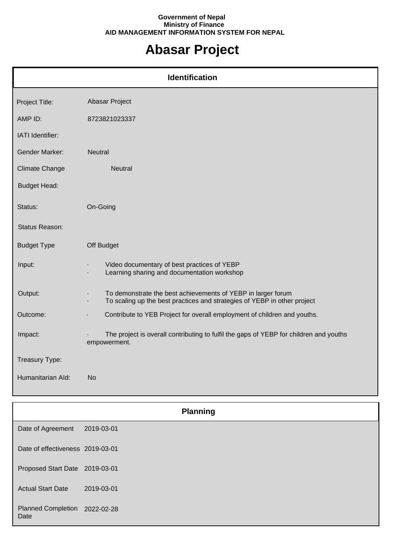## **Government of Nepal Ministry of Finance AID MANAGEMENT INFORMATION SYSTEM FOR NEPAL**

## **Abasar Project**

| <b>Identification</b> |                                                                                                                                                            |  |
|-----------------------|------------------------------------------------------------------------------------------------------------------------------------------------------------|--|
| Project Title:        | Abasar Project                                                                                                                                             |  |
| AMP ID:               | 8723821023337                                                                                                                                              |  |
| IATI Identifier:      |                                                                                                                                                            |  |
| <b>Gender Marker:</b> | Neutral                                                                                                                                                    |  |
| <b>Climate Change</b> | <b>Neutral</b>                                                                                                                                             |  |
| <b>Budget Head:</b>   |                                                                                                                                                            |  |
| Status:               | On-Going                                                                                                                                                   |  |
| Status Reason:        |                                                                                                                                                            |  |
| <b>Budget Type</b>    | Off Budget                                                                                                                                                 |  |
| Input:                | Video documentary of best practices of YEBP<br>Learning sharing and documentation workshop                                                                 |  |
| Output:               | To demonstrate the best achievements of YEBP in larger forum<br>$\blacksquare$<br>To scaling up the best practices and strategies of YEBP in other project |  |
| Outcome:              | Contribute to YEB Project for overall employment of children and youths.<br>ä,                                                                             |  |
| Impact:               | The project is overall contributing to fulfil the gaps of YEBP for children and youths<br>empowerment.                                                     |  |
| Treasury Type:        |                                                                                                                                                            |  |
| Humanitarian Ald:     | <b>No</b>                                                                                                                                                  |  |

|                                       | <b>Planning</b> |  |
|---------------------------------------|-----------------|--|
| Date of Agreement                     | 2019-03-01      |  |
| Date of effectiveness 2019-03-01      |                 |  |
| Proposed Start Date 2019-03-01        |                 |  |
| <b>Actual Start Date</b>              | 2019-03-01      |  |
| Planned Completion 2022-02-28<br>Date |                 |  |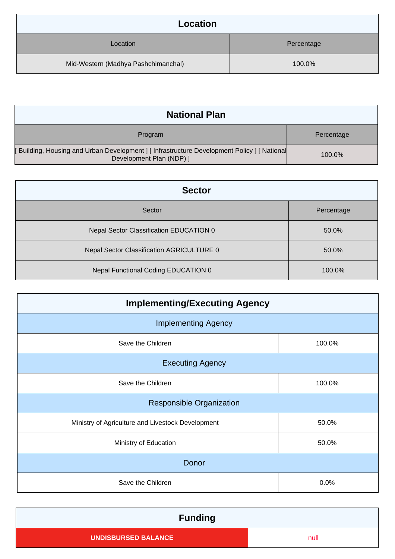| Location                            |            |
|-------------------------------------|------------|
| Location                            | Percentage |
| Mid-Western (Madhya Pashchimanchal) | 100.0%     |

| <b>National Plan</b>                                                                                                   |            |
|------------------------------------------------------------------------------------------------------------------------|------------|
| Program                                                                                                                | Percentage |
| Building, Housing and Urban Development ] [ Infrastructure Development Policy ] [ National<br>Development Plan (NDP) ] | 100.0%     |

| <b>Sector</b>                             |            |  |
|-------------------------------------------|------------|--|
| Sector                                    | Percentage |  |
| Nepal Sector Classification EDUCATION 0   | 50.0%      |  |
| Nepal Sector Classification AGRICULTURE 0 | 50.0%      |  |
| Nepal Functional Coding EDUCATION 0       | 100.0%     |  |

| <b>Implementing/Executing Agency</b>              |        |  |
|---------------------------------------------------|--------|--|
| <b>Implementing Agency</b>                        |        |  |
| Save the Children                                 | 100.0% |  |
| <b>Executing Agency</b>                           |        |  |
| Save the Children                                 | 100.0% |  |
| <b>Responsible Organization</b>                   |        |  |
| Ministry of Agriculture and Livestock Development | 50.0%  |  |
| Ministry of Education                             | 50.0%  |  |
| Donor                                             |        |  |
| Save the Children                                 | 0.0%   |  |

| <b>Funding</b>             |      |
|----------------------------|------|
| <b>UNDISBURSED BALANCE</b> | null |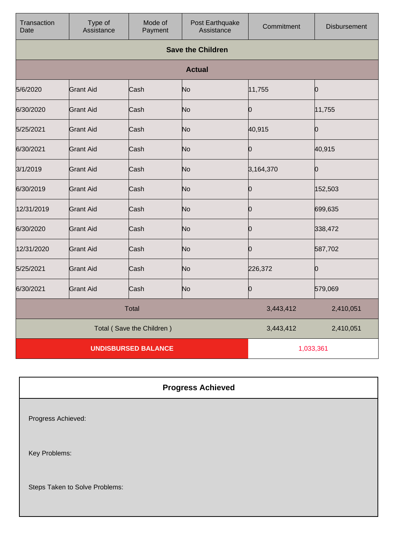| Transaction<br>Date        | Type of<br>Assistance | Mode of<br>Payment | Post Earthquake<br>Assistance | Commitment | <b>Disbursement</b> |
|----------------------------|-----------------------|--------------------|-------------------------------|------------|---------------------|
|                            |                       |                    | <b>Save the Children</b>      |            |                     |
|                            |                       |                    | <b>Actual</b>                 |            |                     |
| 5/6/2020                   | <b>Grant Aid</b>      | Cash               | No                            | 11,755     | Ю                   |
| 6/30/2020                  | <b>Grant Aid</b>      | Cash               | No                            | Ю          | 11,755              |
| 5/25/2021                  | <b>Grant Aid</b>      | Cash               | No                            | 40,915     | Ю                   |
| 6/30/2021                  | <b>Grant Aid</b>      | Cash               | No                            | 0          | 40,915              |
| 3/1/2019                   | <b>Grant Aid</b>      | Cash               | No                            | 3,164,370  | Ю                   |
| 6/30/2019                  | <b>Grant Aid</b>      | Cash               | No                            | 0          | 152,503             |
| 12/31/2019                 | <b>Grant Aid</b>      | Cash               | No                            | 0          | 699,635             |
| 6/30/2020                  | <b>Grant Aid</b>      | Cash               | No                            | 10         | 338,472             |
| 12/31/2020                 | <b>Grant Aid</b>      | Cash               | No                            | 0          | 587,702             |
| 5/25/2021                  | <b>Grant Aid</b>      | Cash               | No                            | 226,372    | 0                   |
| 6/30/2021                  | <b>Grant Aid</b>      | Cash               | No                            | 0          | 579,069             |
| <b>Total</b>               |                       |                    | 3,443,412                     | 2,410,051  |                     |
| Total (Save the Children)  |                       |                    | 3,443,412                     | 2,410,051  |                     |
| <b>UNDISBURSED BALANCE</b> |                       |                    | 1,033,361                     |            |                     |

## **Progress Achieved**

Progress Achieved:

Key Problems:

Steps Taken to Solve Problems: